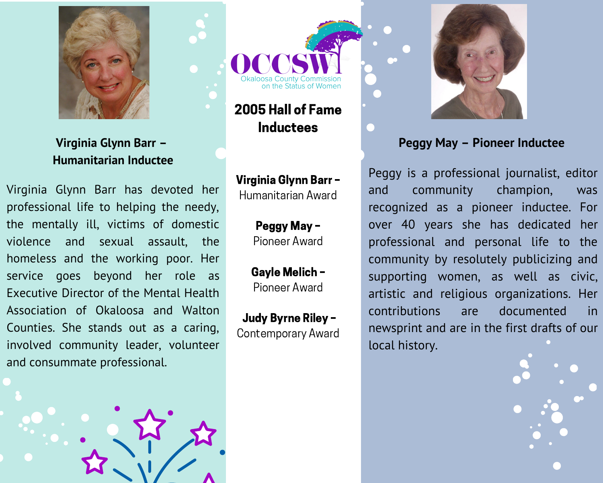

Virginia Glynn Barr -**Humanitarian Inductee** 

Virginia Glynn Barr has devoted her professional life to helping the needy, the mentally ill, victims of domestic violence and sexual assault. the homeless and the working poor. Her service goes beyond her role as Executive Director of the Mental Health Association of Okaloosa and Walton Counties. She stands out as a caring, involved community leader, volunteer and consummate professional.





2005 Hall of Fame **Inductees** 

Virginia Glynn Barr -Humanitarian Award

> Peggy May-Pioneer Award

Gayle Melich -Pioneer Award

Judy Byrne Riley -**Contemporary Award** 



## Peggy May - Pioneer Inductee

Peggy is a professional journalist, editor champion, community and was recognized as a pioneer inductee. For over 40 years she has dedicated her professional and personal life to the community by resolutely publicizing and supporting women, as well as civic, artistic and religious organizations. Her contributions documented in are newsprint and are in the first drafts of our local history.